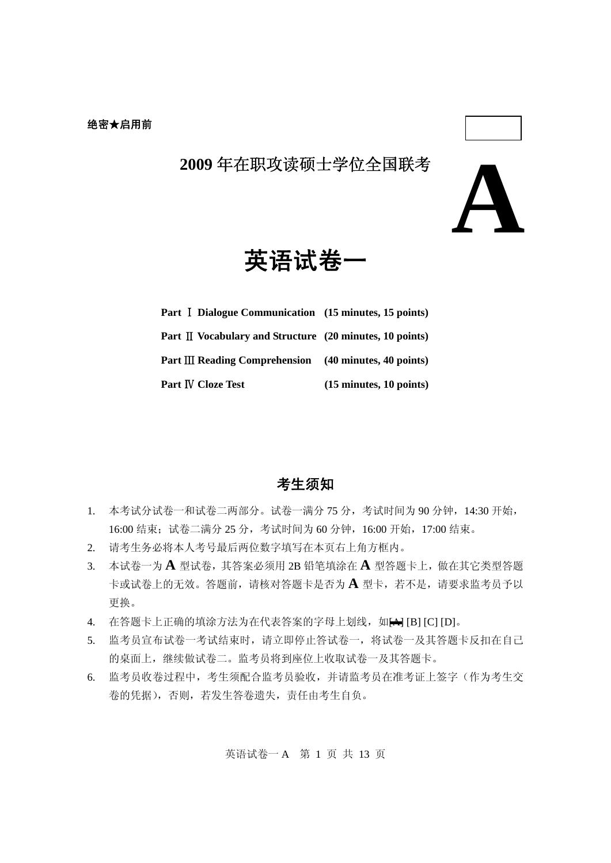

英语试卷一

| Part I Dialogue Communication (15 minutes, 15 points)                      |                                           |
|----------------------------------------------------------------------------|-------------------------------------------|
| Part II Vocabulary and Structure (20 minutes, 10 points)                   |                                           |
| Part $III$ Reading Comprehension $(40 \text{ minutes}, 40 \text{ points})$ |                                           |
| Part IV Cloze Test                                                         | $(15 \text{ minutes}, 10 \text{ points})$ |

# 考生须知

- 1. 本考试分试卷一和试卷二两部分。试卷一满分 75 分,考试时间为 90 分钟, 14:30 开始, 16:00 结束;试卷二满分 25 分,考试时间为 60 分钟,16:00 开始,17:00 结束。
- 2. 请考生务必将本人考号最后两位数字填写在本页右上角方框内。
- 3. 本试卷一为 **A** 型试卷,其答案必须用 2B 铅笔填涂在 **A** 型答题卡上,做在其它类型答题 卡或试卷上的无效。答题前,请核对答题卡是否为 **A** 型卡,若不是,请要求监考员予以 更换。
- 4. 在答题卡上正确的填涂方法为在代表答案的字母上划线, 如A [B] [C] [D]。
- 5. 监考员宣布试卷一考试结束时,请立即停止答试卷一,将试卷一及其答题卡反扣在自己 的桌面上,继续做试卷二。监考员将到座位上收取试卷一及其答题卡。
- 6. 监考员收卷过程中,考生须配合监考员验收,并请监考员在准考证上签字(作为考生交 卷的凭据),否则,若发生答卷遗失,责任由考生自负。

英语试卷一 A 第 1 页 共 13 页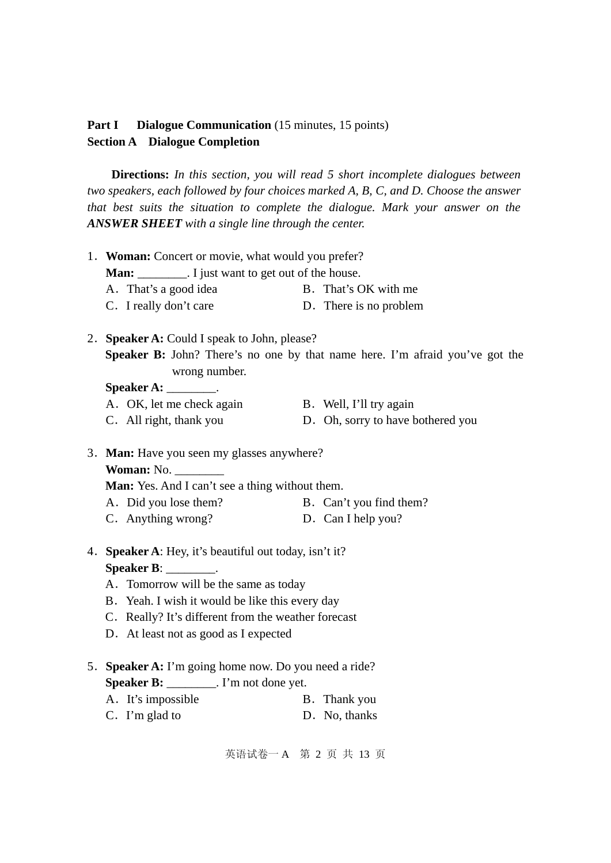# Part I Dialogue Communication (15 minutes, 15 points) **Section A Dialogue Completion**

**Directions:** *In this section, you will read 5 short incomplete dialogues between two speakers, each followed by four choices marked A, B, C, and D. Choose the answer that best suits the situation to complete the dialogue. Mark your answer on the ANSWER SHEET with a single line through the center.* 

| 1. Woman: Concert or movie, what would you prefer?                                            |  |                                   |  |  |  |  |
|-----------------------------------------------------------------------------------------------|--|-----------------------------------|--|--|--|--|
| <b>Man:</b> __________. I just want to get out of the house.                                  |  |                                   |  |  |  |  |
| A. That's a good idea                                                                         |  | B. That's OK with me              |  |  |  |  |
| C. I really don't care                                                                        |  | D. There is no problem            |  |  |  |  |
| 2. Speaker A: Could I speak to John, please?                                                  |  |                                   |  |  |  |  |
| Speaker B: John? There's no one by that name here. I'm afraid you've got the<br>wrong number. |  |                                   |  |  |  |  |
| $\text{Speaker A:}\_\_\_\_\_\_\_\_\_\$ .                                                      |  |                                   |  |  |  |  |
| A. OK, let me check again                                                                     |  | B. Well, I'll try again           |  |  |  |  |
| C. All right, thank you                                                                       |  | D. Oh, sorry to have bothered you |  |  |  |  |
| 3. Man: Have you seen my glasses anywhere?<br>Woman: No.                                      |  |                                   |  |  |  |  |
| Man: Yes. And I can't see a thing without them.                                               |  | B. Can't you find them?           |  |  |  |  |
| A. Did you lose them?<br>C. Anything wrong?                                                   |  | D. Can I help you?                |  |  |  |  |
|                                                                                               |  |                                   |  |  |  |  |
| 4. Speaker A: Hey, it's beautiful out today, isn't it?                                        |  |                                   |  |  |  |  |
| Speaker B: $\_\_\_\_\_\_\_\_\$ .                                                              |  |                                   |  |  |  |  |
| A. Tomorrow will be the same as today                                                         |  |                                   |  |  |  |  |
| B. Yeah. I wish it would be like this every day                                               |  |                                   |  |  |  |  |
| C. Really? It's different from the weather forecast                                           |  |                                   |  |  |  |  |
| D. At least not as good as I expected                                                         |  |                                   |  |  |  |  |
| 5. Speaker A: I'm going home now. Do you need a ride?                                         |  |                                   |  |  |  |  |
| <b>Speaker B:</b> _________. I'm not done yet.                                                |  |                                   |  |  |  |  |
| A. It's impossible                                                                            |  | B. Thank you                      |  |  |  |  |
| C. I'm glad to                                                                                |  | D. No, thanks                     |  |  |  |  |
|                                                                                               |  |                                   |  |  |  |  |

英语试卷一 A 第 2 页 共 13 页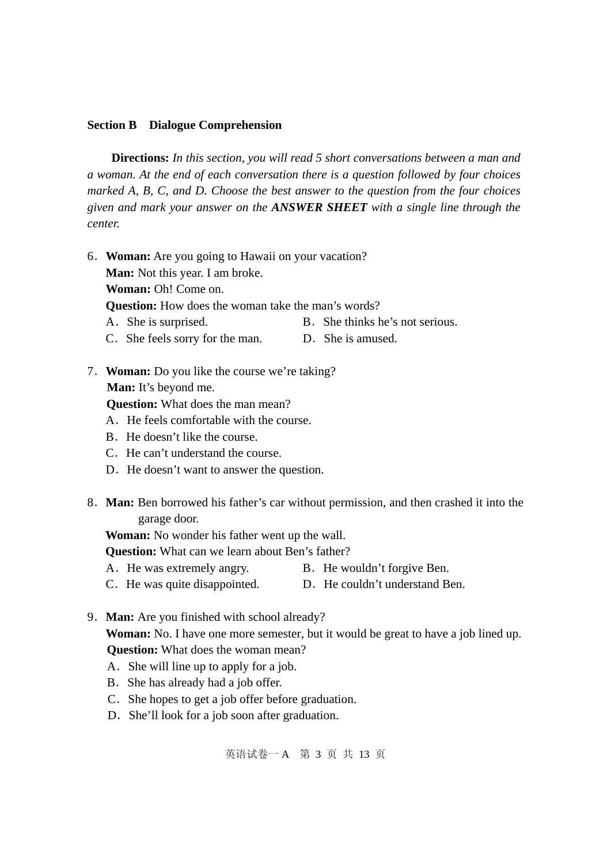# **Section B Dialogue Comprehension**

**Directions:** *In this section, you will read 5 short conversations between a man and a woman. At the end of each conversation there is a question followed by four choices marked A, B, C, and D. Choose the best answer to the question from the four choices given and mark your answer on the ANSWER SHEET with a single line through the center.*

6.**Woman:** Are you going to Hawaii on your vacation? **Man:** Not this year. I am broke. **Woman:** Oh! Come on.

**Question:** How does the woman take the man's words?

- A. She is surprised. B. She thinks he's not serious.
- C.She feels sorry for the man. D.She is amused.
- 7.**Woman:** Do you like the course we're taking? **Man:** It's beyond me.

**Question:** What does the man mean?

- A.He feels comfortable with the course.
- B. He doesn't like the course.
- C.He can't understand the course.
- D. He doesn't want to answer the question.
- 8.**Man:** Ben borrowed his father's car without permission, and then crashed it into the garage door.

**Woman:** No wonder his father went up the wall.

**Question:** What can we learn about Ben's father?

- A. He was extremely angry. B. He wouldn't forgive Ben.
- C. He was quite disappointed. D. He couldn't understand Ben.
- 9.**Man:** [Are you finished with school already?](http://www.talkenglish.com/LessonDetails.aspx?ALID=529##)  **Woman:** [No. I have one more semester, but it would be great to have a job lined up.](http://www.talkenglish.com/LessonDetails.aspx?ALID=529##)  **Question:** What does the woman mean?
	- A.She will line up to apply for a job.
	- B. She has already had a job offer.
	- C.She hopes to get a job offer before graduation.
	- D. She'll look for a job soon after graduation.

英语试卷一 A 第 3 页 共 13 页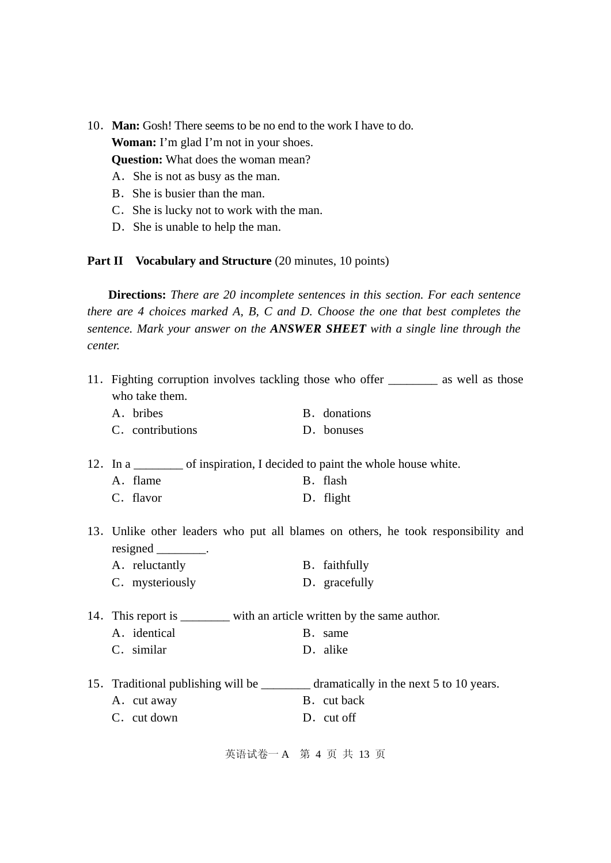- 10.**Man:** Gosh! [There seems to be no end to the work I have to do.](http://www.talkenglish.com/LessonDetails.aspx?ALID=529##)  **Woman:** [I'm glad I'm not in your shoes.](http://www.talkenglish.com/LessonDetails.aspx?ALID=529##)  **Question:** What does the woman mean?
	- A.She is not as busy as the man.
	- B. She is busier than the man.
	- C. She is lucky not to work with the man.
	- D. She is unable to help the man.

# **Part II** Vocabulary and Structure (20 minutes, 10 points)

**Directions:** *There are 20 incomplete sentences in this section. For each sentence there are 4 choices marked A, B, C and D. Choose the one that best completes the sentence. Mark your answer on the ANSWER SHEET with a single line through the center.* 

| 11. Fighting corruption involves tackling those who offer __________ as well as those<br>who take them. |  |                                                                                   |  |  |  |
|---------------------------------------------------------------------------------------------------------|--|-----------------------------------------------------------------------------------|--|--|--|
| A. bribes                                                                                               |  | B. donations                                                                      |  |  |  |
| C. contributions                                                                                        |  | D. bonuses                                                                        |  |  |  |
| 12. In a __________ of inspiration, I decided to paint the whole house white.                           |  |                                                                                   |  |  |  |
| A. flame                                                                                                |  | B. flash                                                                          |  |  |  |
| C. flavor                                                                                               |  | D. flight                                                                         |  |  |  |
| $resigned \_\_\_\_\_\.\$                                                                                |  | 13. Unlike other leaders who put all blames on others, he took responsibility and |  |  |  |
| A. reluctantly                                                                                          |  | B. faithfully                                                                     |  |  |  |
| C. mysteriously                                                                                         |  | D. gracefully                                                                     |  |  |  |
| 14. This report is _________ with an article written by the same author.                                |  |                                                                                   |  |  |  |
| A. identical                                                                                            |  | B. same                                                                           |  |  |  |
| C. similar                                                                                              |  | D. alike                                                                          |  |  |  |
| 15. Traditional publishing will be ____________ dramatically in the next 5 to 10 years.                 |  |                                                                                   |  |  |  |
| A. cut away                                                                                             |  | B. cut back                                                                       |  |  |  |
| C. cut down                                                                                             |  | D. cut off                                                                        |  |  |  |
|                                                                                                         |  |                                                                                   |  |  |  |

英语试卷一 A 第 4 页 共 13 页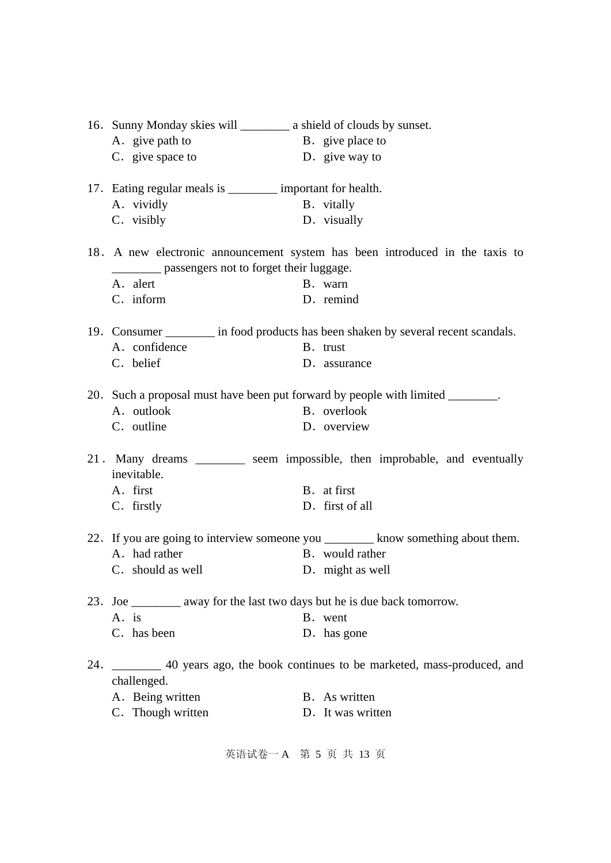|     |                                                                           | 16. Sunny Monday skies will ____________ a shield of clouds by sunset. |                                                                                     |  |  |
|-----|---------------------------------------------------------------------------|------------------------------------------------------------------------|-------------------------------------------------------------------------------------|--|--|
|     | A. give path to                                                           |                                                                        | B. give place to                                                                    |  |  |
|     | C. give space to                                                          |                                                                        | D. give way to                                                                      |  |  |
|     | 17. Eating regular meals is __________ important for health.              |                                                                        |                                                                                     |  |  |
|     | A. vividly                                                                |                                                                        | B. vitally                                                                          |  |  |
|     | C. visibly                                                                |                                                                        | D. visually                                                                         |  |  |
|     | __________ passengers not to forget their luggage.                        |                                                                        | 18. A new electronic announcement system has been introduced in the taxis to        |  |  |
|     | A. alert                                                                  |                                                                        | B. warn                                                                             |  |  |
|     | C. inform                                                                 |                                                                        | D. remind                                                                           |  |  |
|     |                                                                           |                                                                        | 19. Consumer _________ in food products has been shaken by several recent scandals. |  |  |
|     | A. confidence                                                             |                                                                        | B. trust                                                                            |  |  |
|     | C. belief                                                                 |                                                                        | D. assurance                                                                        |  |  |
|     |                                                                           |                                                                        |                                                                                     |  |  |
|     |                                                                           |                                                                        | 20. Such a proposal must have been put forward by people with limited ________.     |  |  |
|     | A. outlook                                                                |                                                                        | B. overlook                                                                         |  |  |
|     | C. outline                                                                |                                                                        | D. overview                                                                         |  |  |
|     | inevitable.                                                               |                                                                        | 21. Many dreams _________ seem impossible, then improbable, and eventually          |  |  |
|     | A. first                                                                  |                                                                        | B. at first                                                                         |  |  |
|     | C. firstly                                                                |                                                                        | D. first of all                                                                     |  |  |
|     |                                                                           |                                                                        | 22. If you are going to interview someone you _________ know something about them.  |  |  |
|     | A. had rather                                                             |                                                                        | B. would rather                                                                     |  |  |
|     | C. should as well                                                         |                                                                        | D. might as well                                                                    |  |  |
|     | 23. Joe _________ away for the last two days but he is due back tomorrow. |                                                                        |                                                                                     |  |  |
|     | A. is                                                                     |                                                                        | B. went                                                                             |  |  |
|     | C. has been                                                               |                                                                        | D. has gone                                                                         |  |  |
| 24. | challenged.                                                               |                                                                        | 40 years ago, the book continues to be marketed, mass-produced, and                 |  |  |
|     | A. Being written                                                          |                                                                        | B. As written                                                                       |  |  |
|     | C. Though written                                                         |                                                                        | D. It was written                                                                   |  |  |
|     |                                                                           |                                                                        |                                                                                     |  |  |

英语试卷一 A 第 5 页 共 13 页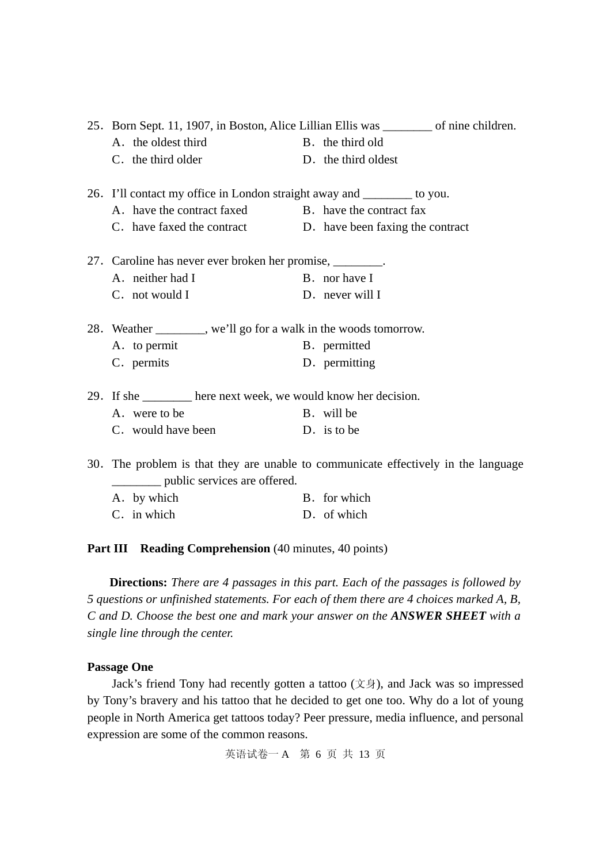|                                                                         | 25. Born Sept. 11, 1907, in Boston, Alice Lillian Ellis was _________ of nine children. |                                                                                |
|-------------------------------------------------------------------------|-----------------------------------------------------------------------------------------|--------------------------------------------------------------------------------|
| A. the oldest third                                                     |                                                                                         | B. the third old                                                               |
| C. the third older                                                      |                                                                                         | D. the third oldest                                                            |
| 26. I'll contact my office in London straight away and ________ to you. |                                                                                         |                                                                                |
| A. have the contract faxed B. have the contract fax                     |                                                                                         |                                                                                |
| C. have faxed the contract D. have been faxing the contract             |                                                                                         |                                                                                |
| 27. Caroline has never ever broken her promise, ________.               |                                                                                         |                                                                                |
| A. neither had I                                                        |                                                                                         | B. nor have I                                                                  |
| C. not would I                                                          |                                                                                         | D. never will I                                                                |
| 28. Weather ________, we'll go for a walk in the woods tomorrow.        |                                                                                         |                                                                                |
| A. to permit                                                            |                                                                                         | B. permitted                                                                   |
| C. permits                                                              |                                                                                         | D. permitting                                                                  |
| 29. If she ________ here next week, we would know her decision.         |                                                                                         |                                                                                |
| A. were to be                                                           |                                                                                         | B. will be                                                                     |
| C. would have been                                                      |                                                                                         | D. is to be                                                                    |
|                                                                         |                                                                                         | The much on is that they are unable to communicate effectively in the language |

30.The problem is that they are unable to communicate effectively in the language \_\_\_\_\_\_\_\_ public services are offered.

| A. by which | B. for which |
|-------------|--------------|
| C. in which | D. of which  |

**Part III Reading Comprehension** (40 minutes, 40 points)

**Directions:** *There are 4 passages in this part. Each of the passages is followed by 5 questions or unfinished statements. For each of them there are 4 choices marked A, B, C and D. Choose the best one and mark your answer on the ANSWER SHEET with a single line through the center.* 

# **Passage One**

Jack's friend Tony had recently gotten a tattoo (文身), and Jack was so impressed by Tony's bravery and his tattoo that he decided to get one too. Why do a lot of young people in North America get tattoos today? Peer pressure, media influence, and personal expression are some of the common reasons.

英语试卷一 A 第 6 页 共 13 页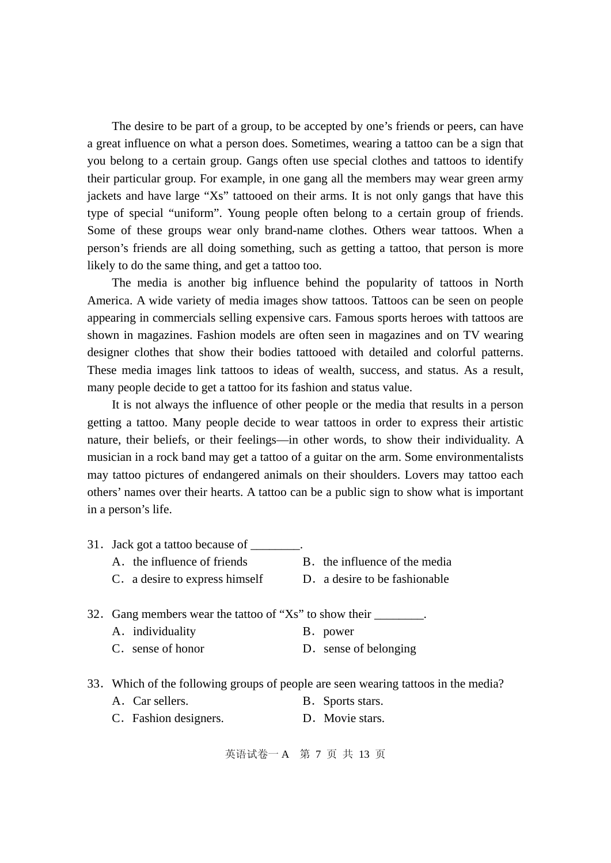The desire to be part of a group, to be accepted by one's friends or peers, can have a great influence on what a person does. Sometimes, wearing a tattoo can be a sign that you belong to a certain group. Gangs often use special clothes and tattoos to identify their particular group. For example, in one gang all the members may wear green army jackets and have large "Xs" tattooed on their arms. It is not only gangs that have this type of special "uniform". Young people often belong to a certain group of friends. Some of these groups wear only brand-name clothes. Others wear tattoos. When a person's friends are all doing something, such as getting a tattoo, that person is more likely to do the same thing, and get a tattoo too.

The media is another big influence behind the popularity of tattoos in North America. A wide variety of media images show tattoos. Tattoos can be seen on people appearing in commercials selling expensive cars. Famous sports heroes with tattoos are shown in magazines. Fashion models are often seen in magazines and on TV wearing designer clothes that show their bodies tattooed with detailed and colorful patterns. These media images link tattoos to ideas of wealth, success, and status. As a result, many people decide to get a tattoo for its fashion and status value.

It is not always the influence of other people or the media that results in a person getting a tattoo. Many people decide to wear tattoos in order to express their artistic nature, their beliefs, or their feelings—in other words, to show their individuality. A musician in a rock band may get a tattoo of a guitar on the arm. Some environmentalists may tattoo pictures of endangered animals on their shoulders. Lovers may tattoo each others' names over their hearts. A tattoo can be a public sign to show what is important in a person's life.

- 31. Jack got a tattoo because of  $\qquad \qquad$ . A. the influence of friends B. the influence of the media C. a desire to express himself D. a desire to be fashionable
- 32. Gang members wear the tattoo of "Xs" to show their  $\qquad \qquad$ . A.individuality B.power
	- C. sense of honor D. sense of belonging
- 33.Which of the following groups of people are seen wearing tattoos in the media?
	- A. Car sellers. B. Sports stars.
	- C.Fashion designers. D.Movie stars.

英语试卷一 A 第 7 页 共 13 页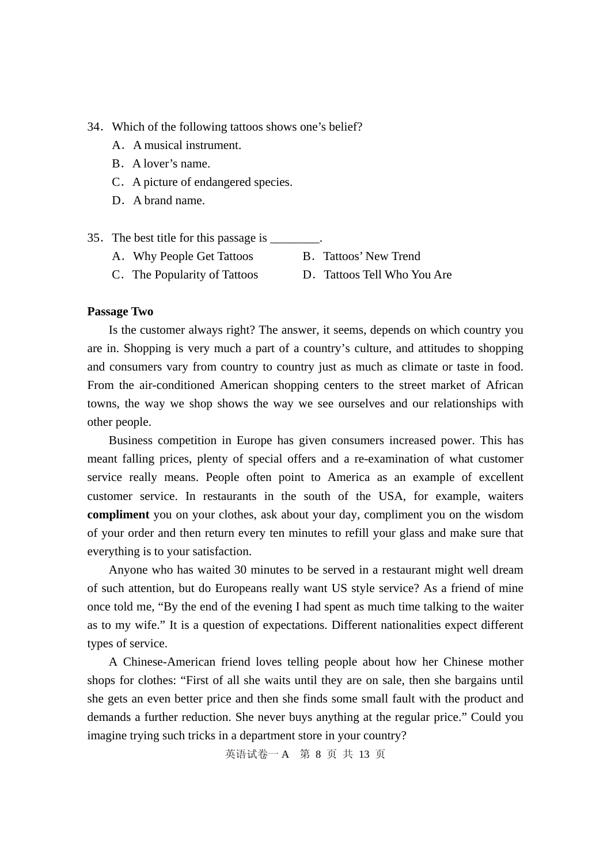#### 34.Which of the following tattoos shows one's belief?

- A.A musical instrument.
- B. A lover's name.
- C. A picture of endangered species.
- D. A brand name.
- 35.The best title for this passage is \_\_\_\_\_\_\_\_.
	- A. Why People Get Tattoos B. Tattoos' New Trend
	- C.The Popularity of Tattoos D.Tattoos Tell Who You Are
- -

# **Passage Two**

Is the customer always right? The answer, it seems, depends on which country you are in. Shopping is very much a part of a country's culture, and attitudes to shopping and consumers vary from country to country just as much as climate or taste in food. From the air-conditioned American shopping centers to the street market of African towns, the way we shop shows the way we see ourselves and our relationships with other people.

Business competition in Europe has given consumers increased power. This has meant falling prices, plenty of special offers and a re-examination of what customer service really means. People often point to America as an example of excellent customer service. In restaurants in the south of the USA, for example, waiters **compliment** you on your clothes, ask about your day, compliment you on the wisdom of your order and then return every ten minutes to refill your glass and make sure that everything is to your satisfaction.

Anyone who has waited 30 minutes to be served in a restaurant might well dream of such attention, but do Europeans really want US style service? As a friend of mine once told me, "By the end of the evening I had spent as much time talking to the waiter as to my wife." It is a question of expectations. Different nationalities expect different types of service.

A Chinese-American friend loves telling people about how her Chinese mother shops for clothes: "First of all she waits until they are on sale, then she bargains until she gets an even better price and then she finds some small fault with the product and demands a further reduction. She never buys anything at the regular price." Could you imagine trying such tricks in a department store in your country?

英语试卷一 A 第 8 页 共 13 页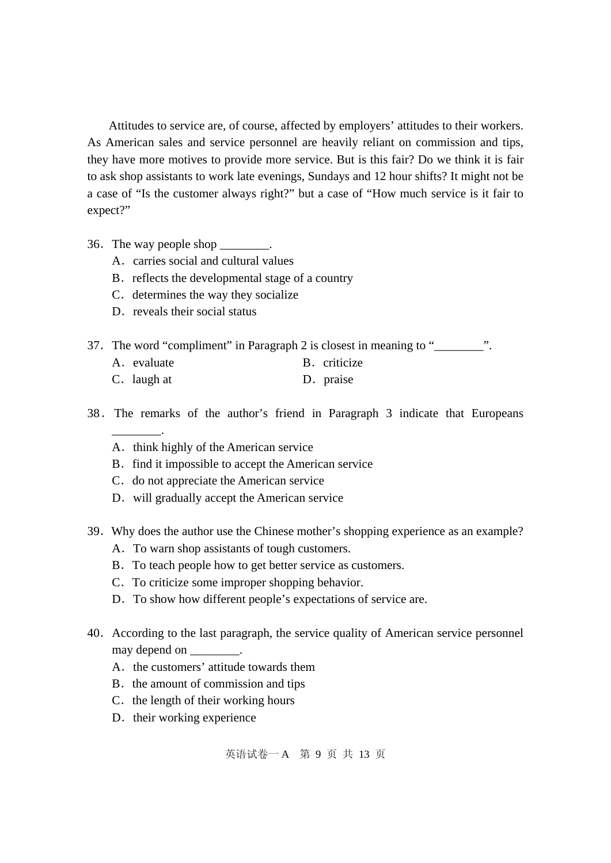Attitudes to service are, of course, affected by employers' attitudes to their workers. As American sales and service personnel are heavily reliant on commission and tips, they have more motives to provide more service. But is this fair? Do we think it is fair to ask shop assistants to work late evenings, Sundays and 12 hour shifts? It might not be a case of "Is the customer always right?" but a case of "How much service is it fair to expect?"

- 36. The way people shop  $\qquad \qquad$ .
	- A.carries social and cultural values
	- B. reflects the developmental stage of a country
	- C. determines the way they socialize
	- D. reveals their social status

37. The word "compliment" in Paragraph 2 is closest in meaning to "\_\_\_\_\_\_\_\_".

- A. evaluate B. criticize
- C. laugh at D. praise
- 38.The remarks of the author's friend in Paragraph 3 indicate that Europeans \_\_\_\_\_\_\_\_.
	- A. think highly of the American service
	- B. find it impossible to accept the American service
	- C. do not appreciate the American service
	- D. will gradually accept the American service
- 39.Why does the author use the Chinese mother's shopping experience as an example?
	- A.To warn shop assistants of tough customers.
	- B. To teach people how to get better service as customers.
	- C.To criticize some improper shopping behavior.
	- D. To show how different people's expectations of service are.
- 40. According to the last paragraph, the service quality of American service personnel may depend on  $\qquad \qquad$ .
	- A. the customers' attitude towards them
	- B. the amount of commission and tips
	- C. the length of their working hours
	- D. their working experience

英语试卷一 A 第 9 页 共 13 页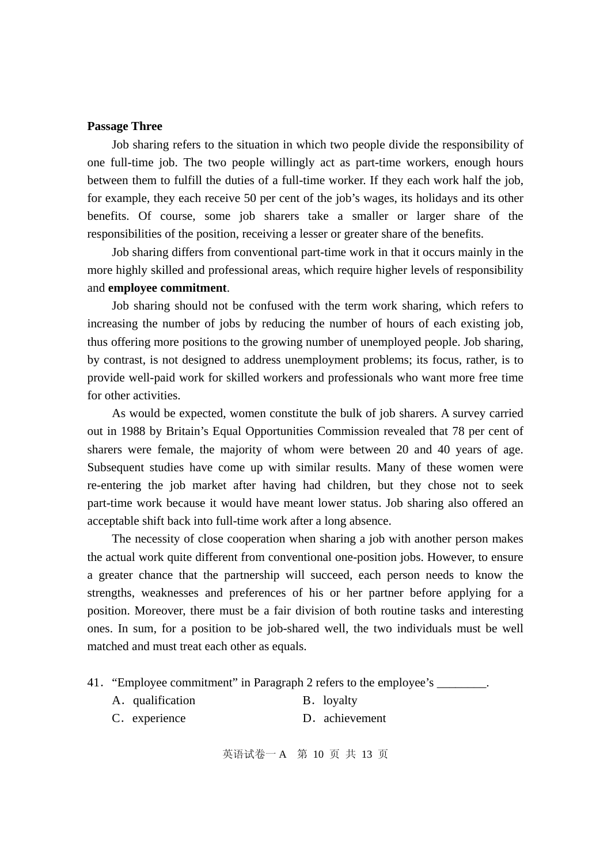#### **Passage Three**

Job sharing refers to the situation in which two people divide the responsibility of one full-time job. The two people willingly act as part-time workers, enough hours between them to fulfill the duties of a full-time worker. If they each work half the job, for example, they each receive 50 per cent of the job's wages, its holidays and its other benefits. Of course, some job sharers take a smaller or larger share of the responsibilities of the position, receiving a lesser or greater share of the benefits.

Job sharing differs from conventional part-time work in that it occurs mainly in the more highly skilled and professional areas, which require higher levels of responsibility and **employee commitment**.

Job sharing should not be confused with the term work sharing, which refers to increasing the number of jobs by reducing the number of hours of each existing job, thus offering more positions to the growing number of unemployed people. Job sharing, by contrast, is not designed to address unemployment problems; its focus, rather, is to provide well-paid work for skilled workers and professionals who want more free time for other activities.

As would be expected, women constitute the bulk of job sharers. A survey carried out in 1988 by Britain's Equal Opportunities Commission revealed that 78 per cent of sharers were female, the majority of whom were between 20 and 40 years of age. Subsequent studies have come up with similar results. Many of these women were re-entering the job market after having had children, but they chose not to seek part-time work because it would have meant lower status. Job sharing also offered an acceptable shift back into full-time work after a long absence.

The necessity of close cooperation when sharing a job with another person makes the actual work quite different from conventional one-position jobs. However, to ensure a greater chance that the partnership will succeed, each person needs to know the strengths, weaknesses and preferences of his or her partner before applying for a position. Moreover, there must be a fair division of both routine tasks and interesting ones. In sum, for a position to be job-shared well, the two individuals must be well matched and must treat each other as equals.

- 41. "Employee commitment" in Paragraph 2 refers to the employee's
	- A. qualification B. loyalty
	- C. experience D. achievement

英语试卷一 A 第 10 页 共 13 页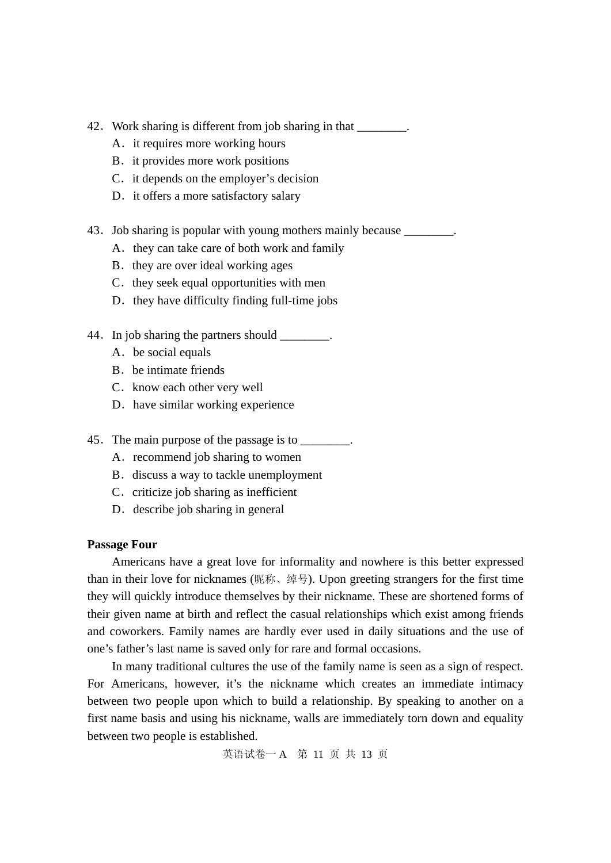- 42. Work sharing is different from job sharing in that \_\_\_\_\_\_\_\_.
	- A. it requires more working hours
	- B. it provides more work positions
	- C. it depends on the employer's decision
	- D. it offers a more satisfactory salary
- 43. Job sharing is popular with young mothers mainly because
	- A. they can take care of both work and family
	- B. they are over ideal working ages
	- C. they seek equal opportunities with men
	- D. they have difficulty finding full-time jobs
- 44. In job sharing the partners should  $\blacksquare$ 
	- A.be social equals
	- B. be intimate friends
	- C. know each other very well
	- D. have similar working experience
- 45. The main purpose of the passage is to \_\_\_\_\_\_\_\_.
	- A. recommend job sharing to women
	- B. discuss a way to tackle unemployment
	- C. criticize job sharing as inefficient
	- D. describe job sharing in general

# **Passage Four**

Americans have a great love for informality and nowhere is this better expressed than in their love for nicknames (昵称、绰号). Upon greeting strangers for the first time they will quickly introduce themselves by their nickname. These are shortened forms of their given name at birth and reflect the casual relationships which exist among friends and coworkers. Family names are hardly ever used in daily situations and the use of one's father's last name is saved only for rare and formal occasions.

In many traditional cultures the use of the family name is seen as a sign of respect. For Americans, however, it's the nickname which creates an immediate intimacy between two people upon which to build a relationship. By speaking to another on a first name basis and using his nickname, walls are immediately torn down and equality between two people is established.

英语试卷一 A 第 11 页 共 13 页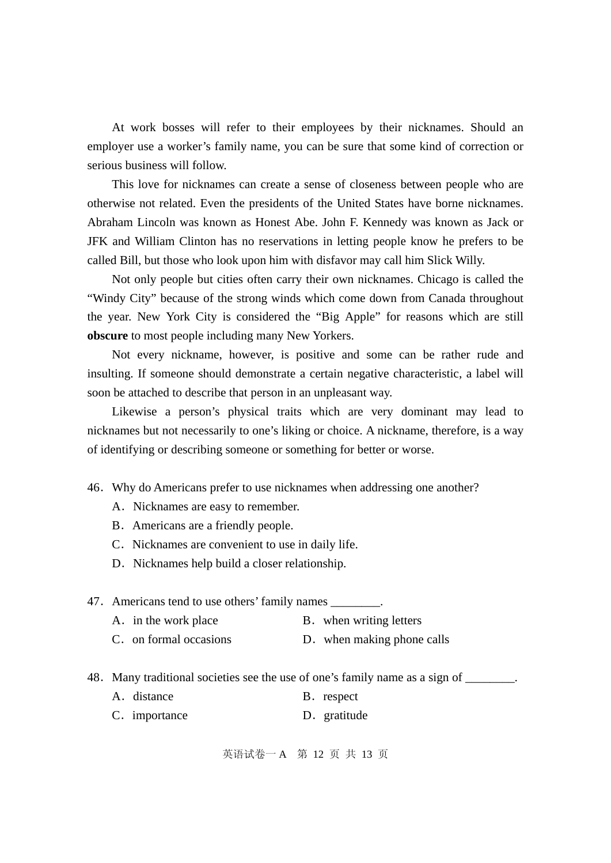At work bosses will refer to their employees by their nicknames. Should an employer use a worker's family name, you can be sure that some kind of correction or serious business will follow.

This love for nicknames can create a sense of closeness between people who are otherwise not related. Even the presidents of the United States have borne nicknames. Abraham Lincoln was known as Honest Abe. John F. Kennedy was known as Jack or JFK and William Clinton has no reservations in letting people know he prefers to be called Bill, but those who look upon him with disfavor may call him Slick Willy.

Not only people but cities often carry their own nicknames. Chicago is called the "Windy City" because of the strong winds which come down from Canada throughout the year. New York City is considered the "Big Apple" for reasons which are still **obscure** to most people including many New Yorkers.

Not every nickname, however, is positive and some can be rather rude and insulting. If someone should demonstrate a certain negative characteristic, a label will soon be attached to describe that person in an unpleasant way.

Likewise a person's physical traits which are very dominant may lead to nicknames but not necessarily to one's liking or choice. A nickname, therefore, is a way of identifying or describing someone or something for better or worse.

46.Why do Americans prefer to use nicknames when addressing one another?

- A. Nicknames are easy to remember.
- B.Americans are a friendly people.
- C. Nicknames are convenient to use in daily life.
- D. Nicknames help build a closer relationship.

47. Americans tend to use others' family names \_\_\_\_\_\_\_\_.

- A. in the work place B. when writing letters
- C. on formal occasions D. when making phone calls

48. Many traditional societies see the use of one's family name as a sign of \_\_\_\_\_\_\_.

- A. distance B. respect
- C. importance D. gratitude

英语试卷一 A 第 12 页 共 13 页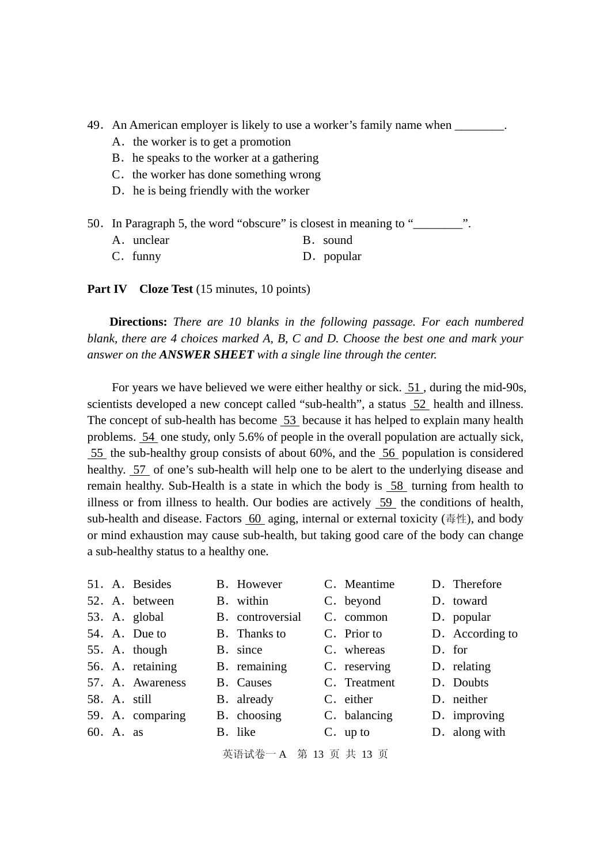49. An American employer is likely to use a worker's family name when  $\blacksquare$ .

- A. the worker is to get a promotion
- B. he speaks to the worker at a gathering
- C. the worker has done something wrong
- D. he is being friendly with the worker
- 50. In Paragraph 5, the word "obscure" is closest in meaning to "..."

| A. unclear |  | B. sound |
|------------|--|----------|
|------------|--|----------|

C. funny D. popular

**Part IV** Cloze Test (15 minutes, 10 points)

**Directions:** *There are 10 blanks in the following passage. For each numbered blank, there are 4 choices marked A, B, C and D. Choose the best one and mark your answer on the ANSWER SHEET with a single line through the center.* 

For years we have believed we were either healthy or sick. 51 , during the mid-90s, scientists developed a new concept called "sub-health", a status 52 health and illness. The concept of sub-health has become 53 because it has helped to explain many health problems. 54 one study, only 5.6% of people in the overall population are actually sick, 55 the sub-healthy group consists of about 60%, and the 56 population is considered healthy. 57 of one's sub-health will help one to be alert to the underlying disease and remain healthy. Sub-Health is a state in which the body is 58 turning from health to illness or from illness to health. Our bodies are actively 59 the conditions of health, sub-health and disease. Factors 60 aging, internal or external toxicity (毒性), and body or mind exhaustion may cause sub-health, but taking good care of the body can change a sub-healthy status to a healthy one.

|           | 51. A. Besides   | B. However       | C. Meantime  | D. Therefore    |
|-----------|------------------|------------------|--------------|-----------------|
|           | 52. A. between   | B. within        | C. beyond    | D. toward       |
|           | 53. A. global    | B. controversial | C. common    | D. popular      |
|           | 54. A. Due to    | B. Thanks to     | C. Prior to  | D. According to |
|           | 55. A. though    | B. since         | C. whereas   | D. for          |
|           | 56. A. retaining | B. remaining     | C. reserving | D. relating     |
|           | 57. A. Awareness | <b>B.</b> Causes | C. Treatment | D. Doubts       |
|           | 58. A. still     | B. already       | C. either    | D. neither      |
|           | 59. A. comparing | B. choosing      | C. balancing | D. improving    |
| 60. A. as |                  | B. like          | $C.$ up to   | D. along with   |
|           |                  |                  |              |                 |

英语试卷一 A 第 13 页 共 13 页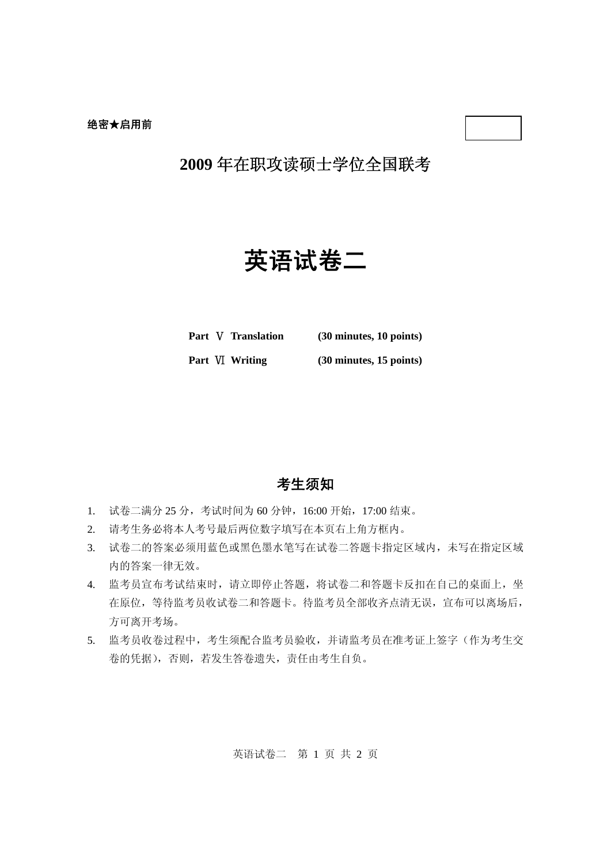# 英语试卷二

**Part** Ⅴ **Translation (30 minutes, 10 points)**

**Part** Ⅵ **Writing (30 minutes, 15 points)**

# 考生须知

- 1. 试卷二满分 25 分,考试时间为 60 分钟,16:00 开始,17:00 结束。
- 2. 请考生务必将本人考号最后两位数字填写在本页右上角方框内。
- 3. 试卷二的答案必须用蓝色或黑色墨水笔写在试卷二答题卡指定区域内,未写在指定区域 内的答案一律无效。
- 4. 监考员宣布考试结束时,请立即停止答题,将试卷二和答题卡反扣在自己的桌面上,坐 在原位,等待监考员收试卷二和答题卡。待监考员全部收齐点清无误,宣布可以离场后, 方可离开考场。
- 5. 监考员收卷过程中,考生须配合监考员验收,并请监考员在准考证上签字(作为考生交 卷的凭据),否则,若发生答卷遗失,责任由考生自负。

英语试卷二 第 1 页 共 2 页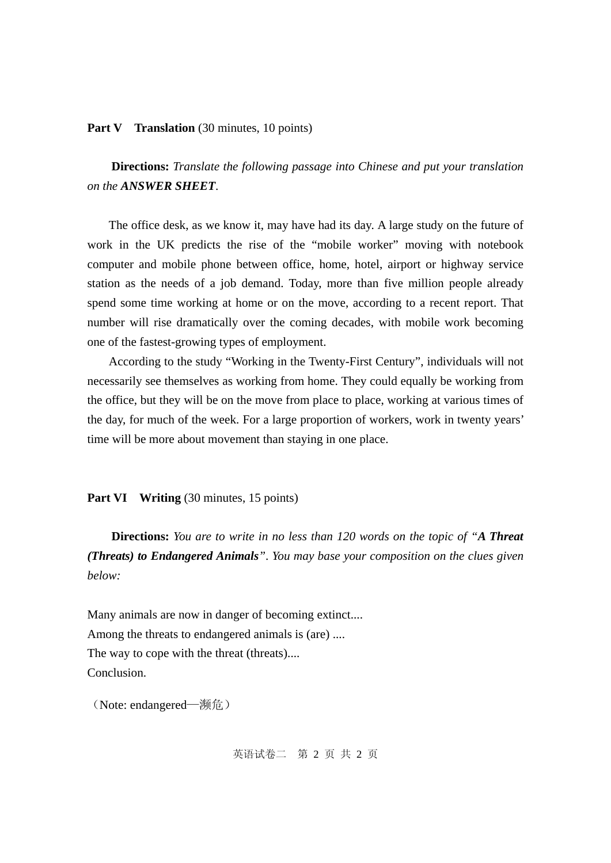#### **Part V** Translation (30 minutes, 10 points)

**Directions:** *Translate the following passage into Chinese and put your translation on the ANSWER SHEET*.

The office desk, as we know it, may have had its day. A large study on the future of work in the UK predicts the rise of the "mobile worker" moving with notebook computer and mobile phone between office, home, hotel, airport or highway service station as the needs of a job demand. Today, more than five million people already spend some time working at home or on the move, according to a recent report. That number will rise dramatically over the coming decades, with mobile work becoming one of the fastest-growing types of employment.

According to the study "Working in the Twenty-First Century", individuals will not necessarily see themselves as working from home. They could equally be working from the office, but they will be on the move from place to place, working at various times of the day, for much of the week. For a large proportion of workers, work in twenty years' time will be more about movement than staying in one place.

# **Part VI** Writing (30 minutes, 15 points)

**Directions:** *You are to write in no less than 120 words on the topic of "A Threat (Threats) to Endangered Animals"*. *You may base your composition on the clues given below:* 

Many animals are now in danger of becoming extinct.... Among the threats to endangered animals is (are) .... The way to cope with the threat (threats).... Conclusion.

(Note: endangered—濒危)

英语试卷二 第 2 页 共 2 页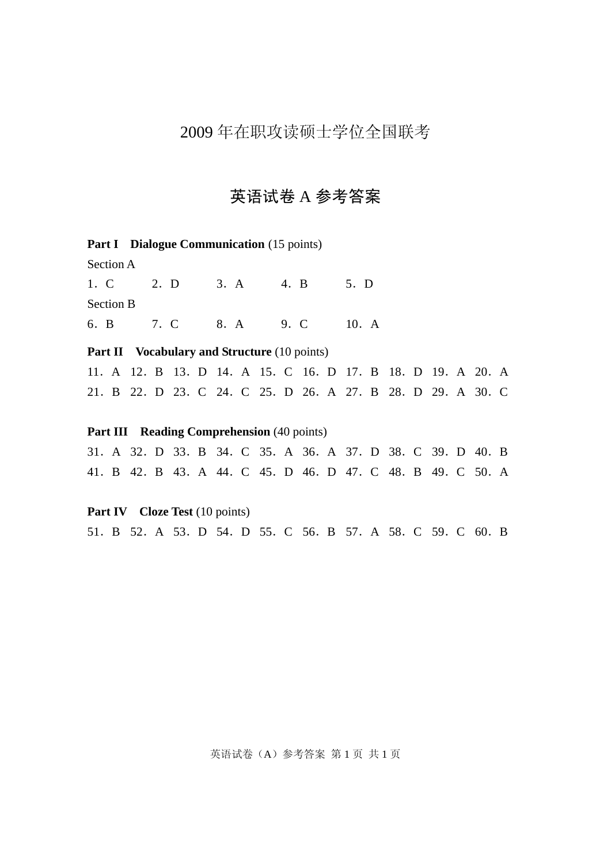# 英语试卷 A 参考答案

Part I Dialogue Communication (15 points)

Section A

1.C 2.D 3.A 4.B 5.D Section B 6.B 7.C 8.A 9.C 10.A

**Part II** Vocabulary and Structure (10 points)

11.A 12.B 13.D 14.A 15.C 16.D 17.B 18.D 19.A 20.A 21.B 22.D 23.C 24.C 25.D 26.A 27.B 28.D 29.A 30.C

# **Part III Reading Comprehension** (40 points)

31.A 32.D 33.B 34.C 35.A 36.A 37.D 38.C 39.D 40.B 41.B 42.B 43.A 44.C 45.D 46.D 47.C 48.B 49.C 50.A

**Part IV** Cloze Test (10 points) 51.B 52.A 53.D 54.D 55.C 56.B 57.A 58.C 59.C 60.B

英语试卷(A)参考答案 第1页 共1页